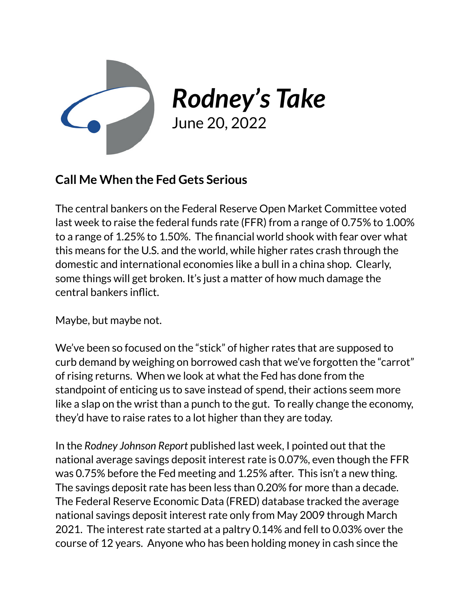

*Rodney's Take*

June 20, 2022

## **Call Me When the Fed Gets Serious**

The central bankers on the Federal Reserve Open Market Committee voted last week to raise the federal funds rate (FFR) from a range of 0.75% to 1.00% to a range of 1.25% to 1.50%. The financial world shook with fear over what this means for the U.S. and the world, while higher rates crash through the domestic and international economies like a bull in a china shop. Clearly, some things will get broken. It's just a matter of how much damage the central bankers inflict.

Maybe, but maybe not.

We've been so focused on the "stick" of higher rates that are supposed to curb demand by weighing on borrowed cash that we've forgotten the "carrot" of rising returns. When we look at what the Fed has done from the standpoint of enticing us to save instead of spend, their actions seem more like a slap on the wrist than a punch to the gut. To really change the economy, they'd have to raise rates to a lot higher than they are today.

In the *Rodney Johnson Report* published last week, I pointed out that the national average savings deposit interest rate is 0.07%, even though the FFR was 0.75% before the Fed meeting and 1.25% after. This isn't a new thing. The savings deposit rate has been less than 0.20% for more than a decade. The Federal Reserve Economic Data (FRED) database tracked the average national savings deposit interest rate only from May 2009 through March 2021. The interest rate started at a paltry 0.14% and fell to 0.03% over the course of 12 years. Anyone who has been holding money in cash since the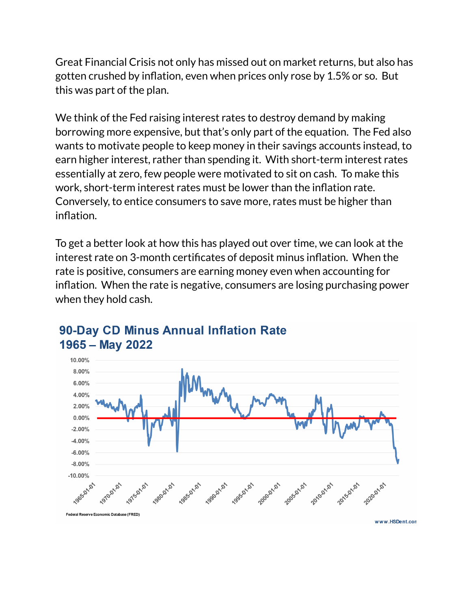Great Financial Crisis not only has missed out on market returns, but also has gotten crushed by inflation, even when prices only rose by 1.5% or so. But this was part of the plan.

We think of the Fed raising interest rates to destroy demand by making borrowing more expensive, but that's only part of the equation. The Fed also wants to motivate people to keep money in their savings accounts instead, to earn higher interest, rather than spending it. With short-term interest rates essentially at zero, few people were motivated to sit on cash. To make this work, short-term interest rates must be lower than the inflation rate. Conversely, to entice consumers to save more, rates must be higher than inflation.

To get a better look at how this has played out over time, we can look at the interest rate on 3-month certificates of deposit minus inflation. When the rate is positive, consumers are earning money even when accounting for inflation. When the rate is negative, consumers are losing purchasing power when they hold cash.



## 90-Day CD Minus Annual Inflation Rate 1965 - May 2022

www.HSDent.con